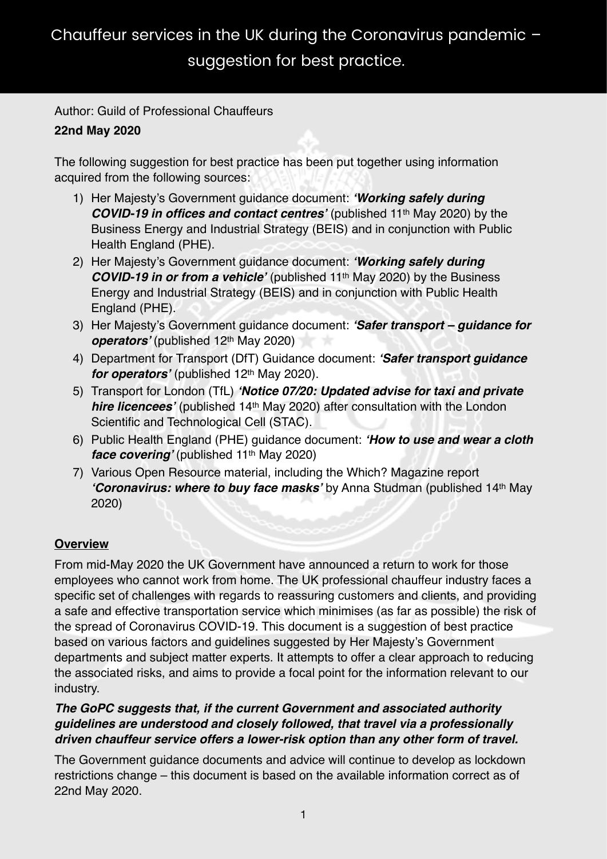Author: Guild of Professional Chauffeurs

# **22nd May 2020**

The following suggestion for best practice has been put together using information acquired from the following sources:

- 1) Her Majesty's Government guidance document: *'Working safely during COVID-19 in offices and contact centres'* (published 11th May 2020) by the Business Energy and Industrial Strategy (BEIS) and in conjunction with Public Health England (PHE).
- 2) Her Majesty's Government guidance document: *'Working safely during COVID-19 in or from a vehicle'* (published 11th May 2020) by the Business Energy and Industrial Strategy (BEIS) and in conjunction with Public Health England (PHE).
- 3) Her Majesty's Government guidance document: *'Safer transport guidance for*  **operators'** (published 12<sup>th</sup> May 2020)
- 4) Department for Transport (DfT) Guidance document: *'Safer transport guidance for operators'* (published 12<sup>th</sup> May 2020).
- 5) Transport for London (TfL) *'Notice 07/20: Updated advise for taxi and private hire licencees'* (published 14th May 2020) after consultation with the London Scientific and Technological Cell (STAC).
- 6) Public Health England (PHE) guidance document: *'How to use and wear a cloth face covering'* (published 11<sup>th</sup> May 2020)
- 7) Various Open Resource material, including the Which? Magazine report *'Coronavirus: where to buy face masks'* by Anna Studman (published 14th May 2020)

# **Overview**

From mid-May 2020 the UK Government have announced a return to work for those employees who cannot work from home. The UK professional chauffeur industry faces a specific set of challenges with regards to reassuring customers and clients, and providing a safe and effective transportation service which minimises (as far as possible) the risk of the spread of Coronavirus COVID-19. This document is a suggestion of best practice based on various factors and guidelines suggested by Her Majesty's Government departments and subject matter experts. It attempts to offer a clear approach to reducing the associated risks, and aims to provide a focal point for the information relevant to our industry.

## *The GoPC suggests that, if the current Government and associated authority guidelines are understood and closely followed, that travel via a professionally driven chauffeur service offers a lower-risk option than any other form of travel.*

The Government guidance documents and advice will continue to develop as lockdown restrictions change – this document is based on the available information correct as of 22nd May 2020.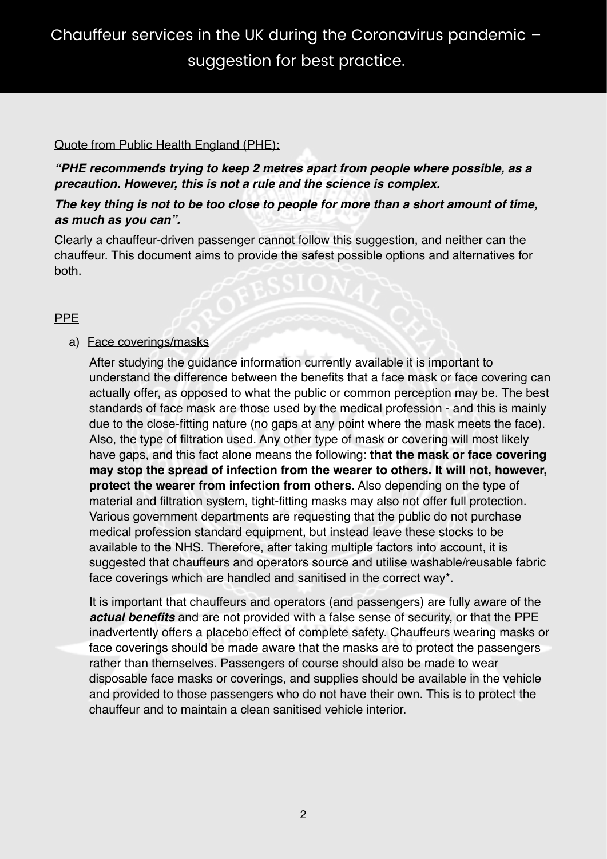# Chauffeur services in the UK during the Coronavirus pandemic – suggestion for best practice.

#### Quote from Public Health England (PHE):

*"PHE recommends trying to keep 2 metres apart from people where possible, as a precaution. However, this is not a rule and the science is complex.* 

#### *The key thing is not to be too close to people for more than a short amount of time, as much as you can".*

Clearly a chauffeur-driven passenger cannot follow this suggestion, and neither can the chauffeur. This document aims to provide the safest possible options and alternatives for both.

#### PPE

#### a) Face coverings/masks

After studying the guidance information currently available it is important to understand the difference between the benefits that a face mask or face covering can actually offer, as opposed to what the public or common perception may be. The best standards of face mask are those used by the medical profession - and this is mainly due to the close-fitting nature (no gaps at any point where the mask meets the face). Also, the type of filtration used. Any other type of mask or covering will most likely have gaps, and this fact alone means the following: **that the mask or face covering may stop the spread of infection from the wearer to others. It will not, however, protect the wearer from infection from others**. Also depending on the type of material and filtration system, tight-fitting masks may also not offer full protection. Various government departments are requesting that the public do not purchase medical profession standard equipment, but instead leave these stocks to be available to the NHS. Therefore, after taking multiple factors into account, it is suggested that chauffeurs and operators source and utilise washable/reusable fabric face coverings which are handled and sanitised in the correct way\*.

It is important that chauffeurs and operators (and passengers) are fully aware of the *actual benefits* and are not provided with a false sense of security, or that the PPE inadvertently offers a placebo effect of complete safety. Chauffeurs wearing masks or face coverings should be made aware that the masks are to protect the passengers rather than themselves. Passengers of course should also be made to wear disposable face masks or coverings, and supplies should be available in the vehicle and provided to those passengers who do not have their own. This is to protect the chauffeur and to maintain a clean sanitised vehicle interior.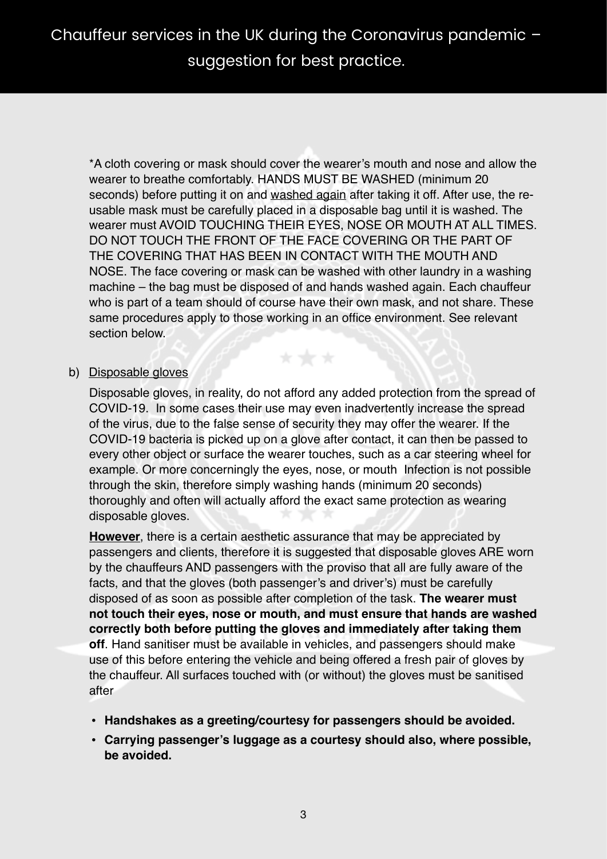\*A cloth covering or mask should cover the wearer's mouth and nose and allow the wearer to breathe comfortably. HANDS MUST BE WASHED (minimum 20 seconds) before putting it on and washed again after taking it off. After use, the reusable mask must be carefully placed in a disposable bag until it is washed. The wearer must AVOID TOUCHING THEIR EYES, NOSE OR MOUTH AT ALL TIMES. DO NOT TOUCH THE FRONT OF THE FACE COVERING OR THE PART OF THE COVERING THAT HAS BEEN IN CONTACT WITH THE MOUTH AND NOSE. The face covering or mask can be washed with other laundry in a washing machine – the bag must be disposed of and hands washed again. Each chauffeur who is part of a team should of course have their own mask, and not share. These same procedures apply to those working in an office environment. See relevant section below.

#### b) Disposable gloves

Disposable gloves, in reality, do not afford any added protection from the spread of COVID-19. In some cases their use may even inadvertently increase the spread of the virus, due to the false sense of security they may offer the wearer. If the COVID-19 bacteria is picked up on a glove after contact, it can then be passed to every other object or surface the wearer touches, such as a car steering wheel for example. Or more concerningly the eyes, nose, or mouth Infection is not possible through the skin, therefore simply washing hands (minimum 20 seconds) thoroughly and often will actually afford the exact same protection as wearing disposable gloves.

**However**, there is a certain aesthetic assurance that may be appreciated by passengers and clients, therefore it is suggested that disposable gloves ARE worn by the chauffeurs AND passengers with the proviso that all are fully aware of the facts, and that the gloves (both passenger's and driver's) must be carefully disposed of as soon as possible after completion of the task. **The wearer must not touch their eyes, nose or mouth, and must ensure that hands are washed correctly both before putting the gloves and immediately after taking them off**. Hand sanitiser must be available in vehicles, and passengers should make use of this before entering the vehicle and being offered a fresh pair of gloves by the chauffeur. All surfaces touched with (or without) the gloves must be sanitised after

- **• Handshakes as a greeting/courtesy for passengers should be avoided.**
- **• Carrying passenger's luggage as a courtesy should also, where possible, be avoided.**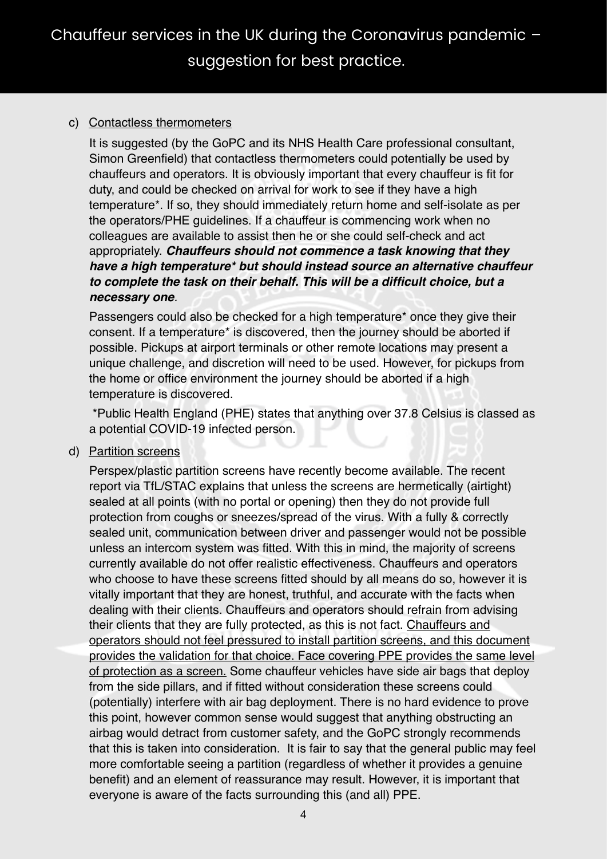## c) Contactless thermometers

It is suggested (by the GoPC and its NHS Health Care professional consultant, Simon Greenfield) that contactless thermometers could potentially be used by chauffeurs and operators. It is obviously important that every chauffeur is fit for duty, and could be checked on arrival for work to see if they have a high temperature\*. If so, they should immediately return home and self-isolate as per the operators/PHE guidelines. If a chauffeur is commencing work when no colleagues are available to assist then he or she could self-check and act appropriately. *Chauffeurs should not commence a task knowing that they have a high temperature\* but should instead source an alternative chauffeur to complete the task on their behalf. This will be a difficult choice, but a necessary one.*

Passengers could also be checked for a high temperature\* once they give their consent. If a temperature\* is discovered, then the journey should be aborted if possible. Pickups at airport terminals or other remote locations may present a unique challenge, and discretion will need to be used. However, for pickups from the home or office environment the journey should be aborted if a high temperature is discovered.

 \*Public Health England (PHE) states that anything over 37.8 Celsius is classed as a potential COVID-19 infected person.

d) Partition screens

Perspex/plastic partition screens have recently become available. The recent report via TfL/STAC explains that unless the screens are hermetically (airtight) sealed at all points (with no portal or opening) then they do not provide full protection from coughs or sneezes/spread of the virus. With a fully & correctly sealed unit, communication between driver and passenger would not be possible unless an intercom system was fitted. With this in mind, the majority of screens currently available do not offer realistic effectiveness. Chauffeurs and operators who choose to have these screens fitted should by all means do so, however it is vitally important that they are honest, truthful, and accurate with the facts when dealing with their clients. Chauffeurs and operators should refrain from advising their clients that they are fully protected, as this is not fact. Chauffeurs and operators should not feel pressured to install partition screens, and this document provides the validation for that choice. Face covering PPE provides the same level of protection as a screen. Some chauffeur vehicles have side air bags that deploy from the side pillars, and if fitted without consideration these screens could (potentially) interfere with air bag deployment. There is no hard evidence to prove this point, however common sense would suggest that anything obstructing an airbag would detract from customer safety, and the GoPC strongly recommends that this is taken into consideration. It is fair to say that the general public may feel more comfortable seeing a partition (regardless of whether it provides a genuine benefit) and an element of reassurance may result. However, it is important that everyone is aware of the facts surrounding this (and all) PPE.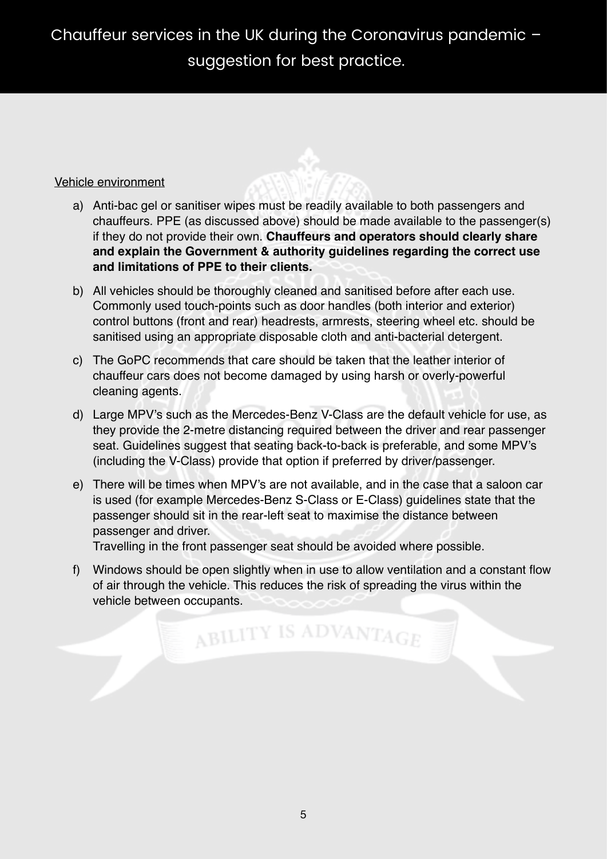#### Vehicle environment

- a) Anti-bac gel or sanitiser wipes must be readily available to both passengers and chauffeurs. PPE (as discussed above) should be made available to the passenger(s) if they do not provide their own. **Chauffeurs and operators should clearly share and explain the Government & authority guidelines regarding the correct use and limitations of PPE to their clients.**
- b) All vehicles should be thoroughly cleaned and sanitised before after each use. Commonly used touch-points such as door handles (both interior and exterior) control buttons (front and rear) headrests, armrests, steering wheel etc. should be sanitised using an appropriate disposable cloth and anti-bacterial detergent.
- c) The GoPC recommends that care should be taken that the leather interior of chauffeur cars does not become damaged by using harsh or overly-powerful cleaning agents.
- d) Large MPV's such as the Mercedes-Benz V-Class are the default vehicle for use, as they provide the 2-metre distancing required between the driver and rear passenger seat. Guidelines suggest that seating back-to-back is preferable, and some MPV's (including the V-Class) provide that option if preferred by driver/passenger.
- e) There will be times when MPV's are not available, and in the case that a saloon car is used (for example Mercedes-Benz S-Class or E-Class) guidelines state that the passenger should sit in the rear-left seat to maximise the distance between passenger and driver.

Travelling in the front passenger seat should be avoided where possible.

f) Windows should be open slightly when in use to allow ventilation and a constant flow of air through the vehicle. This reduces the risk of spreading the virus within the vehicle between occupants.

ABILITY IS ADVANTAGE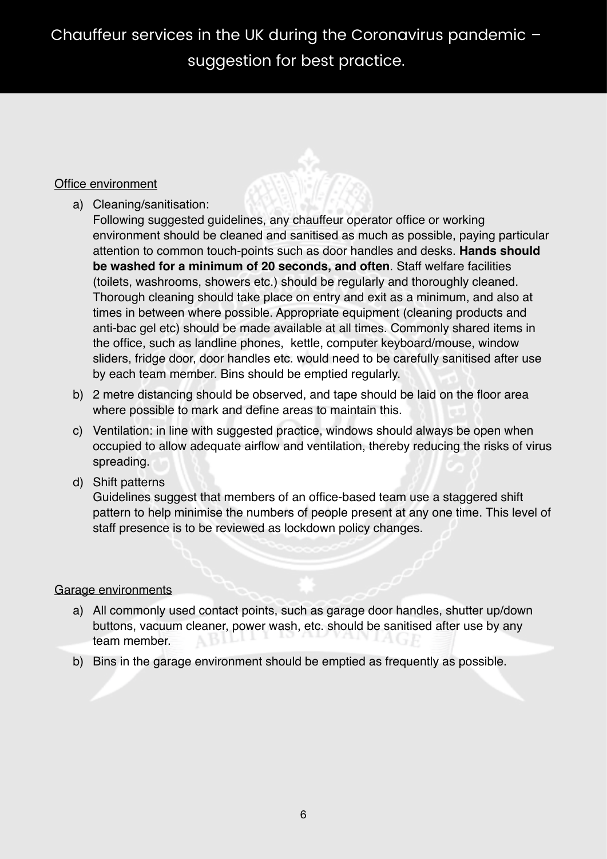## Office environment

a) Cleaning/sanitisation:

Following suggested guidelines, any chauffeur operator office or working environment should be cleaned and sanitised as much as possible, paying particular attention to common touch-points such as door handles and desks. **Hands should be washed for a minimum of 20 seconds, and often**. Staff welfare facilities (toilets, washrooms, showers etc.) should be regularly and thoroughly cleaned. Thorough cleaning should take place on entry and exit as a minimum, and also at times in between where possible. Appropriate equipment (cleaning products and anti-bac gel etc) should be made available at all times. Commonly shared items in the office, such as landline phones, kettle, computer keyboard/mouse, window sliders, fridge door, door handles etc. would need to be carefully sanitised after use by each team member. Bins should be emptied regularly.

- b) 2 metre distancing should be observed, and tape should be laid on the floor area where possible to mark and define areas to maintain this.
- c) Ventilation: in line with suggested practice, windows should always be open when occupied to allow adequate airflow and ventilation, thereby reducing the risks of virus spreading.
- d) Shift patterns

Guidelines suggest that members of an office-based team use a staggered shift pattern to help minimise the numbers of people present at any one time. This level of staff presence is to be reviewed as lockdown policy changes.

## Garage environments

- a) All commonly used contact points, such as garage door handles, shutter up/down buttons, vacuum cleaner, power wash, etc. should be sanitised after use by any team member.
- b) Bins in the garage environment should be emptied as frequently as possible.